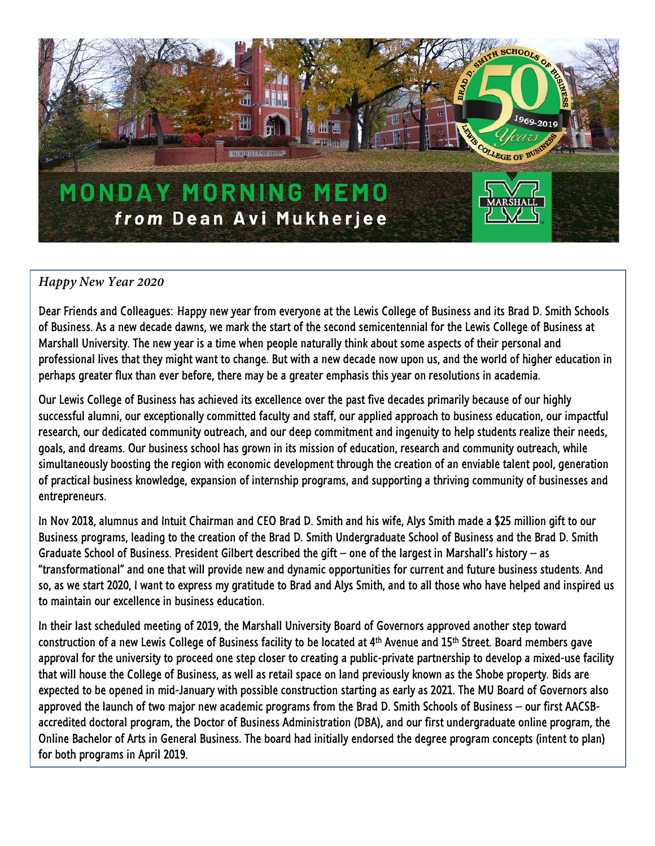

## *Happy New Year 2020*

Dear Friends and Colleagues: Happy new year from everyone at the Lewis College of Business and its Brad D. Smith Schools of Business. As a new decade dawns, we mark the start of the second semicentennial for the Lewis College of Business at Marshall University. The new year is a time when people naturally think about some aspects of their personal and professional lives that they might want to change. But with a new decade now upon us, and the world of higher education in perhaps greater flux than ever before, there may be a greater emphasis this year on resolutions in academia.

Our Lewis College of Business has achieved its excellence over the past five decades primarily because of our highly successful alumni, our exceptionally committed faculty and staff, our applied approach to business education, our impactful research, our dedicated community outreach, and our deep commitment and ingenuity to help students realize their needs, goals, and dreams. Our business school has grown in its mission of education, research and community outreach, while simultaneously boosting the region with economic development through the creation of an enviable talent pool, generation of practical business knowledge, expansion of internship programs, and supporting a thriving community of businesses and entrepreneurs.

In Nov 2018, alumnus and Intuit Chairman and CEO Brad D. Smith and his wife, Alys Smith made a \$25 million gift to our Business programs, leading to the creation of the Brad D. Smith Undergraduate School of Business and the Brad D. Smith Graduate School of Business. President Gilbert described the gift – one of the largest in Marshall's history – as "transformational" and one that will provide new and dynamic opportunities for current and future business students. And so, as we start 2020, I want to express my gratitude to Brad and Alys Smith, and to all those who have helped and inspired us to maintain our excellence in business education.

In their last scheduled meeting of 2019, the Marshall University Board of Governors approved another step toward construction of a new Lewis College of Business facility to be located at 4th Avenue and 15th Street. Board members gave approval for the university to proceed one step closer to creating a public-private partnership to develop a mixed-use facility that will house the College of Business, as well as retail space on land previously known as the Shobe property. Bids are expected to be opened in mid-January with possible construction starting as early as 2021. The MU Board of Governors also approved the launch of two major new academic programs from the Brad D. Smith Schools of Business – our first AACSBaccredited doctoral program, the Doctor of Business Administration (DBA), and our first undergraduate online program, the Online Bachelor of Arts in General Business. The board had initially endorsed the degree program concepts (intent to plan) for both programs in April 2019.